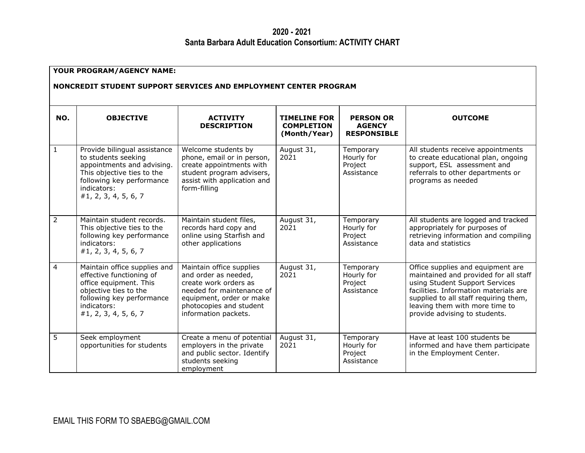## **2020 - 2021 Santa Barbara Adult Education Consortium: ACTIVITY CHART**

| YOUR PROGRAM/AGENCY NAME:<br>NONCREDIT STUDENT SUPPORT SERVICES AND EMPLOYMENT CENTER PROGRAM |                                                                                                                                                                                     |                                                                                                                                                                                       |                                                          |                                                         |                                                                                                                                                                                                                                                                   |  |
|-----------------------------------------------------------------------------------------------|-------------------------------------------------------------------------------------------------------------------------------------------------------------------------------------|---------------------------------------------------------------------------------------------------------------------------------------------------------------------------------------|----------------------------------------------------------|---------------------------------------------------------|-------------------------------------------------------------------------------------------------------------------------------------------------------------------------------------------------------------------------------------------------------------------|--|
| NO.                                                                                           | <b>OBJECTIVE</b>                                                                                                                                                                    | <b>ACTIVITY</b><br><b>DESCRIPTION</b>                                                                                                                                                 | <b>TIMELINE FOR</b><br><b>COMPLETION</b><br>(Month/Year) | <b>PERSON OR</b><br><b>AGENCY</b><br><b>RESPONSIBLE</b> | <b>OUTCOME</b>                                                                                                                                                                                                                                                    |  |
| 1                                                                                             | Provide bilingual assistance<br>to students seeking<br>appointments and advising.<br>This objective ties to the<br>following key performance<br>indicators:<br>#1, 2, 3, 4, 5, 6, 7 | Welcome students by<br>phone, email or in person,<br>create appointments with<br>student program advisers,<br>assist with application and<br>form-filling                             | August 31,<br>2021                                       | Temporary<br>Hourly for<br>Project<br>Assistance        | All students receive appointments<br>to create educational plan, ongoing<br>support, ESL assessment and<br>referrals to other departments or<br>programs as needed                                                                                                |  |
| $\overline{2}$                                                                                | Maintain student records.<br>This objective ties to the<br>following key performance<br>indicators:<br>#1, 2, 3, 4, 5, 6, 7                                                         | Maintain student files,<br>records hard copy and<br>online using Starfish and<br>other applications                                                                                   | August 31,<br>2021                                       | Temporary<br>Hourly for<br>Project<br>Assistance        | All students are logged and tracked<br>appropriately for purposes of<br>retrieving information and compiling<br>data and statistics                                                                                                                               |  |
| $\overline{4}$                                                                                | Maintain office supplies and<br>effective functioning of<br>office equipment. This<br>objective ties to the<br>following key performance<br>indicators:<br>#1, 2, 3, 4, 5, 6, 7     | Maintain office supplies<br>and order as needed,<br>create work orders as<br>needed for maintenance of<br>equipment, order or make<br>photocopies and student<br>information packets. | August 31,<br>2021                                       | Temporary<br>Hourly for<br>Project<br>Assistance        | Office supplies and equipment are<br>maintained and provided for all staff<br>using Student Support Services<br>facilities. Information materials are<br>supplied to all staff requiring them,<br>leaving them with more time to<br>provide advising to students. |  |
| 5                                                                                             | Seek employment<br>opportunities for students                                                                                                                                       | Create a menu of potential<br>employers in the private<br>and public sector. Identify<br>students seeking<br>employment                                                               | August 31,<br>2021                                       | Temporary<br>Hourly for<br>Project<br>Assistance        | Have at least 100 students be<br>informed and have them participate<br>in the Employment Center.                                                                                                                                                                  |  |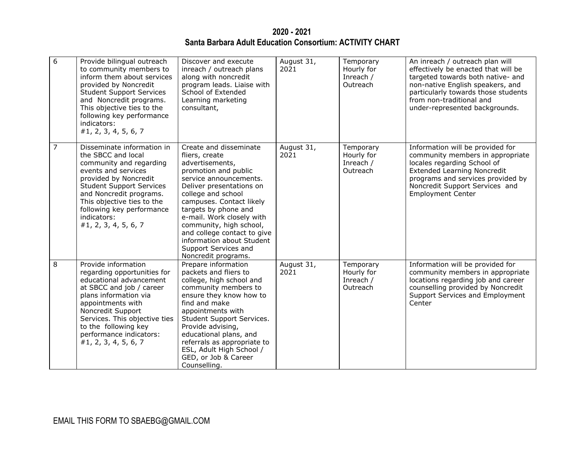**2020 - 2021 Santa Barbara Adult Education Consortium: ACTIVITY CHART**

| 6              | Provide bilingual outreach<br>to community members to<br>inform them about services<br>provided by Noncredit<br><b>Student Support Services</b><br>and Noncredit programs.<br>This objective ties to the<br>following key performance<br>indicators:<br>#1, 2, 3, 4, 5, 6, 7                | Discover and execute<br>inreach / outreach plans<br>along with noncredit<br>program leads. Liaise with<br>School of Extended<br>Learning marketing<br>consultant,                                                                                                                                                                                                                      | August 31,<br>2021 | Temporary<br>Hourly for<br>Inreach /<br>Outreach | An inreach / outreach plan will<br>effectively be enacted that will be<br>targeted towards both native- and<br>non-native English speakers, and<br>particularly towards those students<br>from non-traditional and<br>under-represented backgrounds. |
|----------------|---------------------------------------------------------------------------------------------------------------------------------------------------------------------------------------------------------------------------------------------------------------------------------------------|----------------------------------------------------------------------------------------------------------------------------------------------------------------------------------------------------------------------------------------------------------------------------------------------------------------------------------------------------------------------------------------|--------------------|--------------------------------------------------|------------------------------------------------------------------------------------------------------------------------------------------------------------------------------------------------------------------------------------------------------|
| $\overline{7}$ | Disseminate information in<br>the SBCC and local<br>community and regarding<br>events and services<br>provided by Noncredit<br><b>Student Support Services</b><br>and Noncredit programs.<br>This objective ties to the<br>following key performance<br>indicators:<br>#1, 2, 3, 4, 5, 6, 7 | Create and disseminate<br>fliers, create<br>advertisements,<br>promotion and public<br>service announcements.<br>Deliver presentations on<br>college and school<br>campuses. Contact likely<br>targets by phone and<br>e-mail. Work closely with<br>community, high school,<br>and college contact to give<br>information about Student<br>Support Services and<br>Noncredit programs. | August 31,<br>2021 | Temporary<br>Hourly for<br>Inreach /<br>Outreach | Information will be provided for<br>community members in appropriate<br>locales regarding School of<br><b>Extended Learning Noncredit</b><br>programs and services provided by<br>Noncredit Support Services and<br><b>Employment Center</b>         |
| 8              | Provide information<br>regarding opportunities for<br>educational advancement<br>at SBCC and job / career<br>plans information via<br>appointments with<br>Noncredit Support<br>Services. This objective ties<br>to the following key<br>performance indicators:<br>#1, 2, 3, 4, 5, 6, 7    | Prepare information<br>packets and fliers to<br>college, high school and<br>community members to<br>ensure they know how to<br>find and make<br>appointments with<br>Student Support Services.<br>Provide advising,<br>educational plans, and<br>referrals as appropriate to<br>ESL, Adult High School /<br>GED, or Job & Career<br>Counselling.                                       | August 31,<br>2021 | Temporary<br>Hourly for<br>Inreach /<br>Outreach | Information will be provided for<br>community members in appropriate<br>locations regarding job and career<br>counselling provided by Noncredit<br>Support Services and Employment<br>Center                                                         |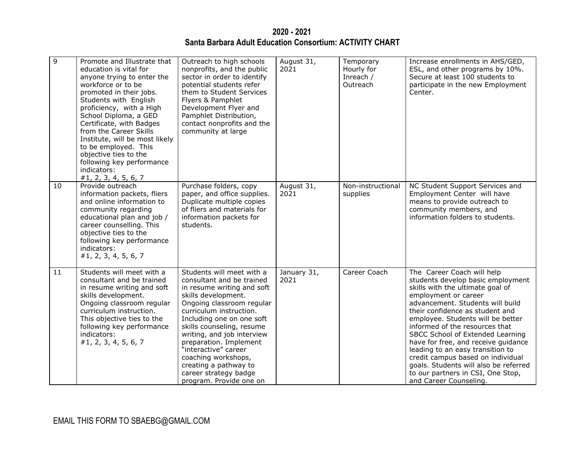**2020 - 2021 Santa Barbara Adult Education Consortium: ACTIVITY CHART**

| 9  | Promote and Illustrate that<br>education is vital for<br>anyone trying to enter the<br>workforce or to be<br>promoted in their jobs.<br>Students with English<br>proficiency, with a High<br>School Diploma, a GED<br>Certificate, with Badges<br>from the Career Skills<br>Institute, will be most likely<br>to be employed. This<br>objective ties to the<br>following key performance<br>indicators:<br>#1, 2, 3, 4, 5, 6, 7 | Outreach to high schools<br>nonprofits, and the public<br>sector in order to identify<br>potential students refer<br>them to Student Services<br>Flyers & Pamphlet<br>Development Flyer and<br>Pamphlet Distribution,<br>contact nonprofits and the<br>community at large                                                                                                                                         | August 31,<br>2021  | Temporary<br>Hourly for<br>Inreach /<br>Outreach | Increase enrollments in AHS/GED,<br>ESL, and other programs by 10%.<br>Secure at least 100 students to<br>participate in the new Employment<br>Center.                                                                                                                                                                                                                                                                                                                                                                                |
|----|---------------------------------------------------------------------------------------------------------------------------------------------------------------------------------------------------------------------------------------------------------------------------------------------------------------------------------------------------------------------------------------------------------------------------------|-------------------------------------------------------------------------------------------------------------------------------------------------------------------------------------------------------------------------------------------------------------------------------------------------------------------------------------------------------------------------------------------------------------------|---------------------|--------------------------------------------------|---------------------------------------------------------------------------------------------------------------------------------------------------------------------------------------------------------------------------------------------------------------------------------------------------------------------------------------------------------------------------------------------------------------------------------------------------------------------------------------------------------------------------------------|
| 10 | Provide outreach<br>information packets, fliers<br>and online information to<br>community regarding<br>educational plan and job /<br>career counselling. This<br>objective ties to the<br>following key performance<br>indicators:<br>#1, 2, 3, 4, 5, 6, 7                                                                                                                                                                      | Purchase folders, copy<br>paper, and office supplies.<br>Duplicate multiple copies<br>of fliers and materials for<br>information packets for<br>students.                                                                                                                                                                                                                                                         | August 31,<br>2021  | Non-instructional<br>supplies                    | NC Student Support Services and<br>Employment Center will have<br>means to provide outreach to<br>community members, and<br>information folders to students.                                                                                                                                                                                                                                                                                                                                                                          |
| 11 | Students will meet with a<br>consultant and be trained<br>in resume writing and soft<br>skills development.<br>Ongoing classroom regular<br>curriculum instruction.<br>This objective ties to the<br>following key performance<br>indicators:<br>#1, 2, 3, 4, 5, 6, 7                                                                                                                                                           | Students will meet with a<br>consultant and be trained<br>in resume writing and soft<br>skills development.<br>Ongoing classroom regular<br>curriculum instruction.<br>Including one on one soft<br>skills counseling, resume<br>writing, and job interview<br>preparation. Implement<br>"interactive" career<br>coaching workshops,<br>creating a pathway to<br>career strategy badge<br>program. Provide one on | January 31,<br>2021 | Career Coach                                     | The Career Coach will help<br>students develop basic employment<br>skills with the ultimate goal of<br>employment or career<br>advancement. Students will build<br>their confidence as student and<br>employee. Students will be better<br>informed of the resources that<br>SBCC School of Extended Learning<br>have for free, and receive guidance<br>leading to an easy transition to<br>credit campus based on individual<br>goals. Students will also be referred<br>to our partners in CSI, One Stop,<br>and Career Counseling. |